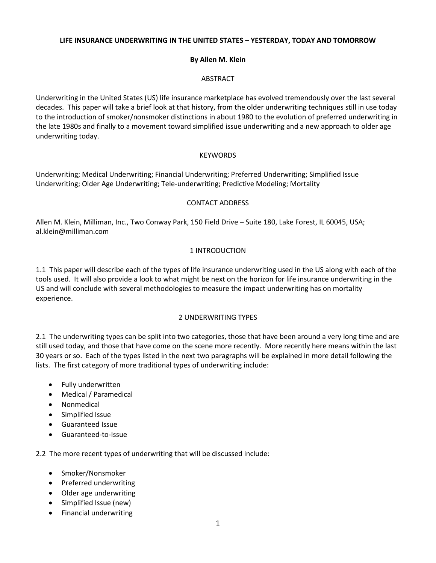### **LIFE INSURANCE UNDERWRITING IN THE UNITED STATES – YESTERDAY, TODAY AND TOMORROW**

### **By Allen M. Klein**

## ABSTRACT

Underwriting in the United States (US) life insurance marketplace has evolved tremendously over the last several decades. This paper will take a brief look at that history, from the older underwriting techniques still in use today to the introduction of smoker/nonsmoker distinctions in about 1980 to the evolution of preferred underwriting in the late 1980s and finally to a movement toward simplified issue underwriting and a new approach to older age underwriting today.

### **KEYWORDS**

Underwriting; Medical Underwriting; Financial Underwriting; Preferred Underwriting; Simplified Issue Underwriting; Older Age Underwriting; Tele-underwriting; Predictive Modeling; Mortality

## CONTACT ADDRESS

Allen M. Klein, Milliman, Inc., Two Conway Park, 150 Field Drive – Suite 180, Lake Forest, IL 60045, USA; al.klein@milliman.com

# 1 INTRODUCTION

1.1 This paper will describe each of the types of life insurance underwriting used in the US along with each of the tools used. It will also provide a look to what might be next on the horizon for life insurance underwriting in the US and will conclude with several methodologies to measure the impact underwriting has on mortality experience.

# 2 UNDERWRITING TYPES

2.1 The underwriting types can be split into two categories, those that have been around a very long time and are still used today, and those that have come on the scene more recently. More recently here means within the last 30 years or so. Each of the types listed in the next two paragraphs will be explained in more detail following the lists. The first category of more traditional types of underwriting include:

- Fully underwritten
- Medical / Paramedical
- Nonmedical
- Simplified Issue
- Guaranteed Issue
- Guaranteed-to-Issue

2.2 The more recent types of underwriting that will be discussed include:

- Smoker/Nonsmoker
- Preferred underwriting
- Older age underwriting
- Simplified Issue (new)
- Financial underwriting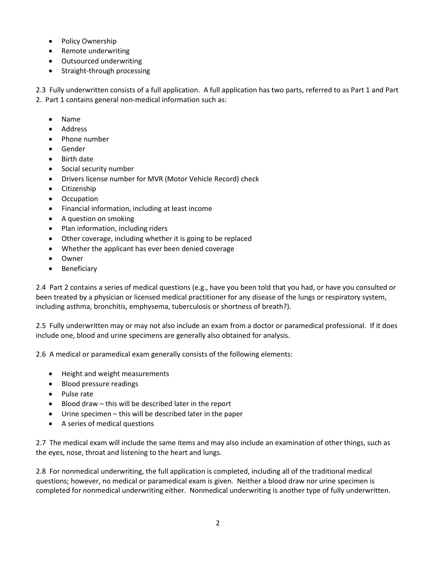- Policy Ownership
- Remote underwriting
- Outsourced underwriting
- Straight-through processing

2.3 Fully underwritten consists of a full application. A full application has two parts, referred to as Part 1 and Part 2. Part 1 contains general non-medical information such as:

- Name
- **Address**
- Phone number
- Gender
- Birth date
- Social security number
- Drivers license number for MVR (Motor Vehicle Record) check
- Citizenship
- Occupation
- Financial information, including at least income
- A question on smoking
- Plan information, including riders
- Other coverage, including whether it is going to be replaced
- Whether the applicant has ever been denied coverage
- Owner
- Beneficiary

2.4 Part 2 contains a series of medical questions (e.g., have you been told that you had, or have you consulted or been treated by a physician or licensed medical practitioner for any disease of the lungs or respiratory system, including asthma, bronchitis, emphysema, tuberculosis or shortness of breath?).

2.5 Fully underwritten may or may not also include an exam from a doctor or paramedical professional. If it does include one, blood and urine specimens are generally also obtained for analysis.

2.6 A medical or paramedical exam generally consists of the following elements:

- Height and weight measurements
- Blood pressure readings
- Pulse rate
- Blood draw this will be described later in the report
- Urine specimen this will be described later in the paper
- A series of medical questions

2.7 The medical exam will include the same items and may also include an examination of other things, such as the eyes, nose, throat and listening to the heart and lungs.

2.8 For nonmedical underwriting, the full application is completed, including all of the traditional medical questions; however, no medical or paramedical exam is given. Neither a blood draw nor urine specimen is completed for nonmedical underwriting either. Nonmedical underwriting is another type of fully underwritten.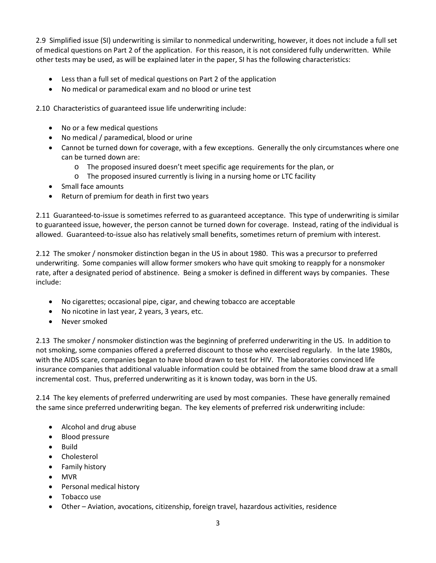2.9 Simplified issue (SI) underwriting is similar to nonmedical underwriting, however, it does not include a full set of medical questions on Part 2 of the application. For this reason, it is not considered fully underwritten. While other tests may be used, as will be explained later in the paper, SI has the following characteristics:

- Less than a full set of medical questions on Part 2 of the application
- No medical or paramedical exam and no blood or urine test

2.10 Characteristics of guaranteed issue life underwriting include:

- No or a few medical questions
- No medical / paramedical, blood or urine
- Cannot be turned down for coverage, with a few exceptions. Generally the only circumstances where one can be turned down are:
	- o The proposed insured doesn't meet specific age requirements for the plan, or
	- o The proposed insured currently is living in a nursing home or LTC facility
- Small face amounts
- Return of premium for death in first two years

2.11 Guaranteed-to-issue is sometimes referred to as guaranteed acceptance. This type of underwriting is similar to guaranteed issue, however, the person cannot be turned down for coverage. Instead, rating of the individual is allowed. Guaranteed-to-issue also has relatively small benefits, sometimes return of premium with interest.

2.12 The smoker / nonsmoker distinction began in the US in about 1980. This was a precursor to preferred underwriting. Some companies will allow former smokers who have quit smoking to reapply for a nonsmoker rate, after a designated period of abstinence. Being a smoker is defined in different ways by companies. These include:

- No cigarettes; occasional pipe, cigar, and chewing tobacco are acceptable
- No nicotine in last year, 2 years, 3 years, etc.
- Never smoked

2.13 The smoker / nonsmoker distinction was the beginning of preferred underwriting in the US. In addition to not smoking, some companies offered a preferred discount to those who exercised regularly. In the late 1980s, with the AIDS scare, companies began to have blood drawn to test for HIV. The laboratories convinced life insurance companies that additional valuable information could be obtained from the same blood draw at a small incremental cost. Thus, preferred underwriting as it is known today, was born in the US.

2.14 The key elements of preferred underwriting are used by most companies. These have generally remained the same since preferred underwriting began. The key elements of preferred risk underwriting include:

- Alcohol and drug abuse
- Blood pressure
- Build
- Cholesterol
- Family history
- MVR
- Personal medical history
- Tobacco use
- Other Aviation, avocations, citizenship, foreign travel, hazardous activities, residence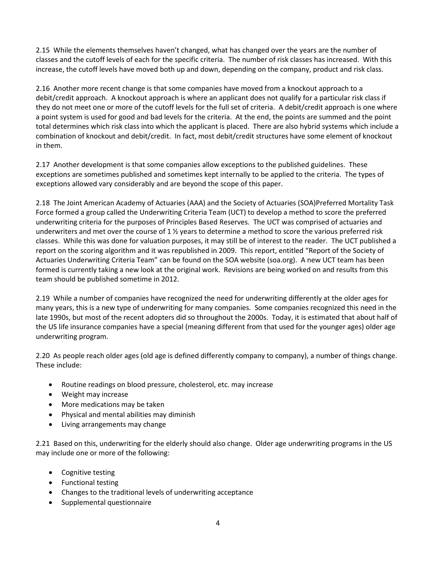2.15 While the elements themselves haven't changed, what has changed over the years are the number of classes and the cutoff levels of each for the specific criteria. The number of risk classes has increased. With this increase, the cutoff levels have moved both up and down, depending on the company, product and risk class.

2.16 Another more recent change is that some companies have moved from a knockout approach to a debit/credit approach. A knockout approach is where an applicant does not qualify for a particular risk class if they do not meet one or more of the cutoff levels for the full set of criteria. A debit/credit approach is one where a point system is used for good and bad levels for the criteria. At the end, the points are summed and the point total determines which risk class into which the applicant is placed. There are also hybrid systems which include a combination of knockout and debit/credit. In fact, most debit/credit structures have some element of knockout in them.

2.17 Another development is that some companies allow exceptions to the published guidelines. These exceptions are sometimes published and sometimes kept internally to be applied to the criteria. The types of exceptions allowed vary considerably and are beyond the scope of this paper.

2.18 The Joint American Academy of Actuaries (AAA) and the Society of Actuaries (SOA)Preferred Mortality Task Force formed a group called the Underwriting Criteria Team (UCT) to develop a method to score the preferred underwriting criteria for the purposes of Principles Based Reserves. The UCT was comprised of actuaries and underwriters and met over the course of 1  $\frac{1}{2}$  years to determine a method to score the various preferred risk classes. While this was done for valuation purposes, it may still be of interest to the reader. The UCT published a report on the scoring algorithm and it was republished in 2009. This report, entitled "Report of the Society of Actuaries Underwriting Criteria Team" can be found on the SOA website (soa.org). A new UCT team has been formed is currently taking a new look at the original work. Revisions are being worked on and results from this team should be published sometime in 2012.

2.19 While a number of companies have recognized the need for underwriting differently at the older ages for many years, this is a new type of underwriting for many companies. Some companies recognized this need in the late 1990s, but most of the recent adopters did so throughout the 2000s. Today, it is estimated that about half of the US life insurance companies have a special (meaning different from that used for the younger ages) older age underwriting program.

2.20 As people reach older ages (old age is defined differently company to company), a number of things change. These include:

- Routine readings on blood pressure, cholesterol, etc. may increase
- Weight may increase
- More medications may be taken
- Physical and mental abilities may diminish
- Living arrangements may change

2.21 Based on this, underwriting for the elderly should also change. Older age underwriting programs in the US may include one or more of the following:

- Cognitive testing
- Functional testing
- Changes to the traditional levels of underwriting acceptance
- Supplemental questionnaire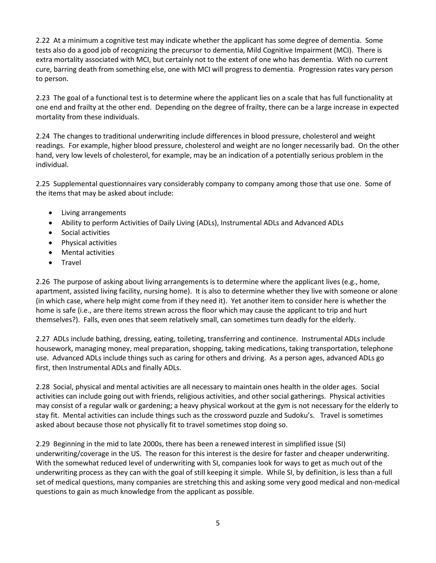2.22 At a minimum a cognitive test may indicate whether the applicant has some degree of dementia. Some tests also do a good job of recognizing the precursor to dementia, Mild Cognitive Impairment (MCI). There is extra mortality associated with MCI, but certainly not to the extent of one who has dementia. With no current cure, barring death from something else, one with MCI will progress to dementia. Progression rates vary person to person.

2.23 The goal of a functional test is to determine where the applicant lies on a scale that has full functionality at one end and frailty at the other end. Depending on the degree of frailty, there can be a large increase in expected mortality from these individuals.

2.24 The changes to traditional underwriting include differences in blood pressure, cholesterol and weight readings. For example, higher blood pressure, cholesterol and weight are no longer necessarily bad. On the other hand, very low levels of cholesterol, for example, may be an indication of a potentially serious problem in the individual.

2.25 Supplemental questionnaires vary considerably company to company among those that use one. Some of the items that may be asked about include:

- Living arrangements
- Ability to perform Activities of Daily Living (ADLs), Instrumental ADLs and Advanced ADLs
- Social activities
- Physical activities
- Mental activities
- Travel

2.26 The purpose of asking about living arrangements is to determine where the applicant lives (e.g., home, apartment, assisted living facility, nursing home). It is also to determine whether they live with someone or alone (in which case, where help might come from if they need it). Yet another item to consider here is whether the home is safe (i.e., are there items strewn across the floor which may cause the applicant to trip and hurt themselves?). Falls, even ones that seem relatively small, can sometimes turn deadly for the elderly.

2.27 ADLs include bathing, dressing, eating, toileting, transferring and continence. Instrumental ADLs include housework, managing money, meal preparation, shopping, taking medications, taking transportation, telephone use. Advanced ADLs include things such as caring for others and driving. As a person ages, advanced ADLs go first, then Instrumental ADLs and finally ADLs.

2.28 Social, physical and mental activities are all necessary to maintain ones health in the older ages. Social activities can include going out with friends, religious activities, and other social gatherings. Physical activities may consist of a regular walk or gardening; a heavy physical workout at the gym is not necessary for the elderly to stay fit. Mental activities can include things such as the crossword puzzle and Sudoku's. Travel is sometimes asked about because those not physically fit to travel sometimes stop doing so.

2.29 Beginning in the mid to late 2000s, there has been a renewed interest in simplified issue (SI) underwriting/coverage in the US. The reason for this interest is the desire for faster and cheaper underwriting. With the somewhat reduced level of underwriting with SI, companies look for ways to get as much out of the underwriting process as they can with the goal of still keeping it simple. While SI, by definition, is less than a full set of medical questions, many companies are stretching this and asking some very good medical and non-medical questions to gain as much knowledge from the applicant as possible.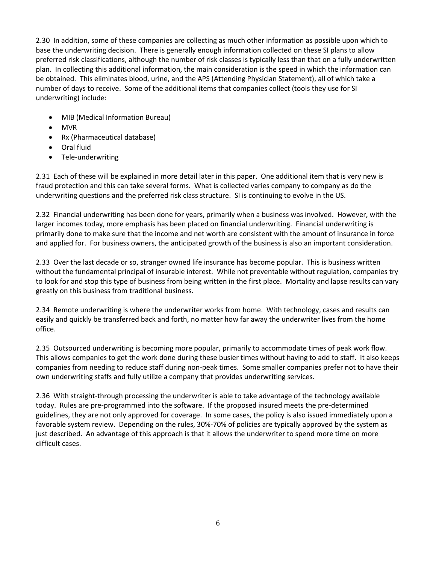2.30 In addition, some of these companies are collecting as much other information as possible upon which to base the underwriting decision. There is generally enough information collected on these SI plans to allow preferred risk classifications, although the number of risk classes is typically less than that on a fully underwritten plan. In collecting this additional information, the main consideration is the speed in which the information can be obtained. This eliminates blood, urine, and the APS (Attending Physician Statement), all of which take a number of days to receive. Some of the additional items that companies collect (tools they use for SI underwriting) include:

- MIB (Medical Information Bureau)
- MVR
- Rx (Pharmaceutical database)
- Oral fluid
- Tele-underwriting

2.31 Each of these will be explained in more detail later in this paper. One additional item that is very new is fraud protection and this can take several forms. What is collected varies company to company as do the underwriting questions and the preferred risk class structure. SI is continuing to evolve in the US.

2.32 Financial underwriting has been done for years, primarily when a business was involved. However, with the larger incomes today, more emphasis has been placed on financial underwriting. Financial underwriting is primarily done to make sure that the income and net worth are consistent with the amount of insurance in force and applied for. For business owners, the anticipated growth of the business is also an important consideration.

2.33 Over the last decade or so, stranger owned life insurance has become popular. This is business written without the fundamental principal of insurable interest. While not preventable without regulation, companies try to look for and stop this type of business from being written in the first place. Mortality and lapse results can vary greatly on this business from traditional business.

2.34 Remote underwriting is where the underwriter works from home. With technology, cases and results can easily and quickly be transferred back and forth, no matter how far away the underwriter lives from the home office.

2.35 Outsourced underwriting is becoming more popular, primarily to accommodate times of peak work flow. This allows companies to get the work done during these busier times without having to add to staff. It also keeps companies from needing to reduce staff during non-peak times. Some smaller companies prefer not to have their own underwriting staffs and fully utilize a company that provides underwriting services.

2.36 With straight-through processing the underwriter is able to take advantage of the technology available today. Rules are pre-programmed into the software. If the proposed insured meets the pre-determined guidelines, they are not only approved for coverage. In some cases, the policy is also issued immediately upon a favorable system review. Depending on the rules, 30%-70% of policies are typically approved by the system as just described. An advantage of this approach is that it allows the underwriter to spend more time on more difficult cases.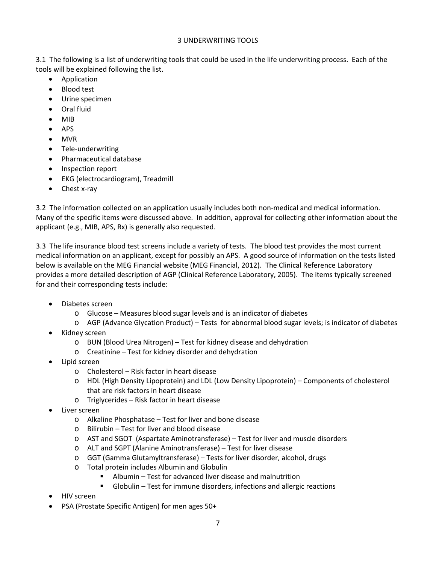# 3 UNDERWRITING TOOLS

3.1 The following is a list of underwriting tools that could be used in the life underwriting process. Each of the tools will be explained following the list.

- Application
- Blood test
- Urine specimen
- Oral fluid
- MIB
- APS
- MVR
- Tele-underwriting
- Pharmaceutical database
- Inspection report
- EKG (electrocardiogram), Treadmill
- Chest x-ray

3.2 The information collected on an application usually includes both non-medical and medical information. Many of the specific items were discussed above. In addition, approval for collecting other information about the applicant (e.g., MIB, APS, Rx) is generally also requested.

3.3 The life insurance blood test screens include a variety of tests. The blood test provides the most current medical information on an applicant, except for possibly an APS. A good source of information on the tests listed below is available on the MEG Financial website (MEG Financial, 2012). The Clinical Reference Laboratory provides a more detailed description of AGP (Clinical Reference Laboratory, 2005). The items typically screened for and their corresponding tests include:

- Diabetes screen
	- o Glucose Measures blood sugar levels and is an indicator of diabetes
	- o AGP (Advance Glycation Product) Tests for abnormal blood sugar levels; is indicator of diabetes
- Kidney screen
	- o BUN (Blood Urea Nitrogen) Test for kidney disease and dehydration
	- o Creatinine Test for kidney disorder and dehydration
- Lipid screen
	- o Cholesterol Risk factor in heart disease
	- o HDL (High Density Lipoprotein) and LDL (Low Density Lipoprotein) Components of cholesterol that are risk factors in heart disease
	- o Triglycerides Risk factor in heart disease
- Liver screen
	- o Alkaline Phosphatase Test for liver and bone disease
	- o Bilirubin Test for liver and blood disease
	- o AST and SGOT (Aspartate Aminotransferase) Test for liver and muscle disorders
	- o ALT and SGPT (Alanine Aminotransferase) Test for liver disease
	- o GGT (Gamma Glutamyltransferase) Tests for liver disorder, alcohol, drugs
	- o Total protein includes Albumin and Globulin
		- Albumin Test for advanced liver disease and malnutrition
		- Globulin Test for immune disorders, infections and allergic reactions
- HIV screen
- PSA (Prostate Specific Antigen) for men ages 50+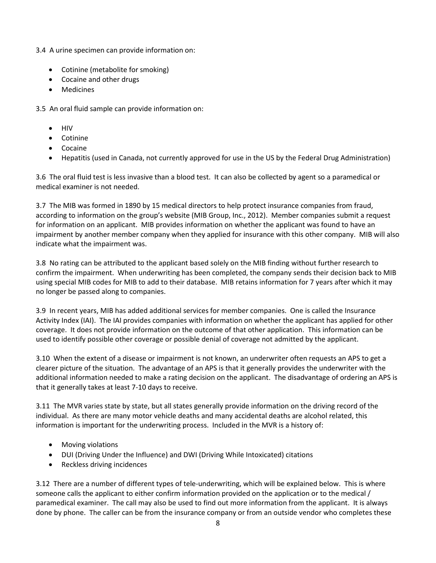3.4 A urine specimen can provide information on:

- Cotinine (metabolite for smoking)
- Cocaine and other drugs
- Medicines

3.5 An oral fluid sample can provide information on:

- HIV
- Cotinine
- Cocaine
- Hepatitis (used in Canada, not currently approved for use in the US by the Federal Drug Administration)

3.6 The oral fluid test is less invasive than a blood test. It can also be collected by agent so a paramedical or medical examiner is not needed.

3.7 The MIB was formed in 1890 by 15 medical directors to help protect insurance companies from fraud, according to information on the group's website (MIB Group, Inc., 2012). Member companies submit a request for information on an applicant. MIB provides information on whether the applicant was found to have an impairment by another member company when they applied for insurance with this other company. MIB will also indicate what the impairment was.

3.8 No rating can be attributed to the applicant based solely on the MIB finding without further research to confirm the impairment. When underwriting has been completed, the company sends their decision back to MIB using special MIB codes for MIB to add to their database. MIB retains information for 7 years after which it may no longer be passed along to companies.

3.9 In recent years, MIB has added additional services for member companies. One is called the Insurance Activity Index (IAI). The IAI provides companies with information on whether the applicant has applied for other coverage. It does not provide information on the outcome of that other application. This information can be used to identify possible other coverage or possible denial of coverage not admitted by the applicant.

3.10 When the extent of a disease or impairment is not known, an underwriter often requests an APS to get a clearer picture of the situation. The advantage of an APS is that it generally provides the underwriter with the additional information needed to make a rating decision on the applicant. The disadvantage of ordering an APS is that it generally takes at least 7-10 days to receive.

3.11 The MVR varies state by state, but all states generally provide information on the driving record of the individual. As there are many motor vehicle deaths and many accidental deaths are alcohol related, this information is important for the underwriting process. Included in the MVR is a history of:

- Moving violations
- DUI (Driving Under the Influence) and DWI (Driving While Intoxicated) citations
- Reckless driving incidences

3.12 There are a number of different types of tele-underwriting, which will be explained below. This is where someone calls the applicant to either confirm information provided on the application or to the medical / paramedical examiner. The call may also be used to find out more information from the applicant. It is always done by phone. The caller can be from the insurance company or from an outside vendor who completes these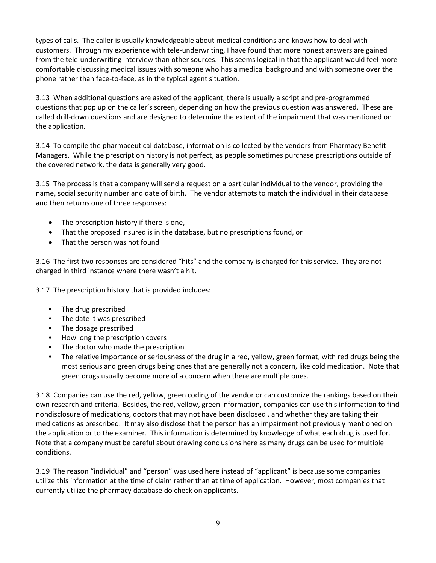types of calls. The caller is usually knowledgeable about medical conditions and knows how to deal with customers. Through my experience with tele-underwriting, I have found that more honest answers are gained from the tele-underwriting interview than other sources. This seems logical in that the applicant would feel more comfortable discussing medical issues with someone who has a medical background and with someone over the phone rather than face-to-face, as in the typical agent situation.

3.13 When additional questions are asked of the applicant, there is usually a script and pre-programmed questions that pop up on the caller's screen, depending on how the previous question was answered. These are called drill-down questions and are designed to determine the extent of the impairment that was mentioned on the application.

3.14 To compile the pharmaceutical database, information is collected by the vendors from Pharmacy Benefit Managers. While the prescription history is not perfect, as people sometimes purchase prescriptions outside of the covered network, the data is generally very good.

3.15 The process is that a company will send a request on a particular individual to the vendor, providing the name, social security number and date of birth. The vendor attempts to match the individual in their database and then returns one of three responses:

- The prescription history if there is one,
- That the proposed insured is in the database, but no prescriptions found, or
- That the person was not found

3.16 The first two responses are considered "hits" and the company is charged for this service. They are not charged in third instance where there wasn't a hit.

3.17 The prescription history that is provided includes:

- The drug prescribed
- The date it was prescribed
- The dosage prescribed
- How long the prescription covers
- The doctor who made the prescription
- The relative importance or seriousness of the drug in a red, yellow, green format, with red drugs being the most serious and green drugs being ones that are generally not a concern, like cold medication. Note that green drugs usually become more of a concern when there are multiple ones.

3.18 Companies can use the red, yellow, green coding of the vendor or can customize the rankings based on their own research and criteria. Besides, the red, yellow, green information, companies can use this information to find nondisclosure of medications, doctors that may not have been disclosed , and whether they are taking their medications as prescribed. It may also disclose that the person has an impairment not previously mentioned on the application or to the examiner. This information is determined by knowledge of what each drug is used for. Note that a company must be careful about drawing conclusions here as many drugs can be used for multiple conditions.

3.19 The reason "individual" and "person" was used here instead of "applicant" is because some companies utilize this information at the time of claim rather than at time of application. However, most companies that currently utilize the pharmacy database do check on applicants.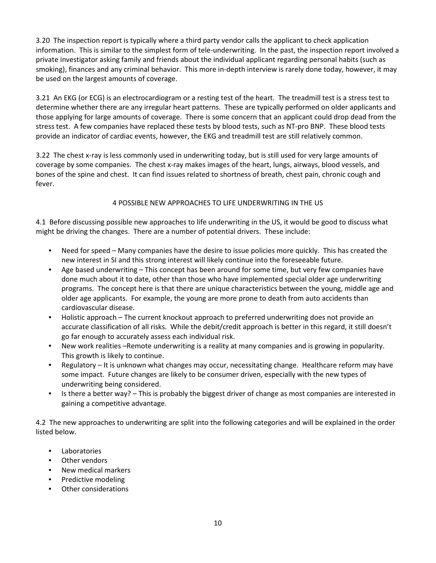3.20 The inspection report is typically where a third party vendor calls the applicant to check application information. This is similar to the simplest form of tele-underwriting. In the past, the inspection report involved a private investigator asking family and friends about the individual applicant regarding personal habits (such as smoking), finances and any criminal behavior. This more in-depth interview is rarely done today, however, it may be used on the largest amounts of coverage.

3.21 An EKG (or ECG) is an electrocardiogram or a resting test of the heart. The treadmill test is a stress test to determine whether there are any irregular heart patterns. These are typically performed on older applicants and those applying for large amounts of coverage. There is some concern that an applicant could drop dead from the stress test. A few companies have replaced these tests by blood tests, such as NT-pro BNP. These blood tests provide an indicator of cardiac events, however, the EKG and treadmill test are still relatively common.

3.22 The chest x-ray is less commonly used in underwriting today, but is still used for very large amounts of coverage by some companies. The chest x-ray makes images of the heart, lungs, airways, blood vessels, and bones of the spine and chest. It can find issues related to shortness of breath, chest pain, chronic cough and fever.

# 4 POSSIBLE NEW APPROACHES TO LIFE UNDERWRITING IN THE US

4.1 Before discussing possible new approaches to life underwriting in the US, it would be good to discuss what might be driving the changes. There are a number of potential drivers. These include:

- Need for speed Many companies have the desire to issue policies more quickly. This has created the new interest in SI and this strong interest will likely continue into the foreseeable future.
- Age based underwriting This concept has been around for some time, but very few companies have done much about it to date, other than those who have implemented special older age underwriting programs. The concept here is that there are unique characteristics between the young, middle age and older age applicants. For example, the young are more prone to death from auto accidents than cardiovascular disease.
- Holistic approach The current knockout approach to preferred underwriting does not provide an accurate classification of all risks. While the debit/credit approach is better in this regard, it still doesn't go far enough to accurately assess each individual risk.
- New work realities –Remote underwriting is a reality at many companies and is growing in popularity. This growth is likely to continue.
- Regulatory It is unknown what changes may occur, necessitating change. Healthcare reform may have some impact. Future changes are likely to be consumer driven, especially with the new types of underwriting being considered.
- Is there a better way? This is probably the biggest driver of change as most companies are interested in gaining a competitive advantage.

4.2 The new approaches to underwriting are split into the following categories and will be explained in the order listed below.

- **Laboratories**
- Other vendors
- New medical markers
- Predictive modeling
- Other considerations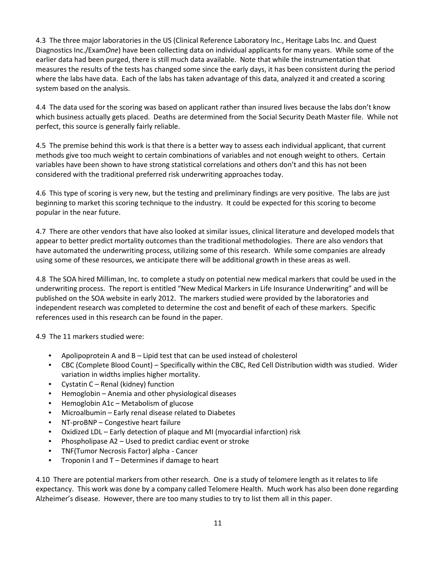4.3 The three major laboratories in the US (Clinical Reference Laboratory Inc., Heritage Labs Inc. and Quest Diagnostics Inc./Exam*One*) have been collecting data on individual applicants for many years. While some of the earlier data had been purged, there is still much data available. Note that while the instrumentation that measures the results of the tests has changed some since the early days, it has been consistent during the period where the labs have data. Each of the labs has taken advantage of this data, analyzed it and created a scoring system based on the analysis.

4.4 The data used for the scoring was based on applicant rather than insured lives because the labs don't know which business actually gets placed. Deaths are determined from the Social Security Death Master file. While not perfect, this source is generally fairly reliable.

4.5 The premise behind this work is that there is a better way to assess each individual applicant, that current methods give too much weight to certain combinations of variables and not enough weight to others. Certain variables have been shown to have strong statistical correlations and others don't and this has not been considered with the traditional preferred risk underwriting approaches today.

4.6 This type of scoring is very new, but the testing and preliminary findings are very positive. The labs are just beginning to market this scoring technique to the industry. It could be expected for this scoring to become popular in the near future.

4.7 There are other vendors that have also looked at similar issues, clinical literature and developed models that appear to better predict mortality outcomes than the traditional methodologies. There are also vendors that have automated the underwriting process, utilizing some of this research. While some companies are already using some of these resources, we anticipate there will be additional growth in these areas as well.

4.8 The SOA hired Milliman, Inc. to complete a study on potential new medical markers that could be used in the underwriting process. The report is entitled "New Medical Markers in Life Insurance Underwriting" and will be published on the SOA website in early 2012. The markers studied were provided by the laboratories and independent research was completed to determine the cost and benefit of each of these markers. Specific references used in this research can be found in the paper.

4.9 The 11 markers studied were:

- Apolipoprotein A and B Lipid test that can be used instead of cholesterol
- CBC (Complete Blood Count) Specifically within the CBC, Red Cell Distribution width was studied. Wider variation in widths implies higher mortality.
- Cystatin C Renal (kidney) function
- Hemoglobin Anemia and other physiological diseases
- Hemoglobin A1c Metabolism of glucose
- Microalbumin Early renal disease related to Diabetes
- NT-proBNP Congestive heart failure
- Oxidized LDL Early detection of plaque and MI (myocardial infarction) risk
- Phospholipase A2 Used to predict cardiac event or stroke
- TNF(Tumor Necrosis Factor) alpha Cancer
- Troponin I and T Determines if damage to heart

4.10 There are potential markers from other research. One is a study of telomere length as it relates to life expectancy. This work was done by a company called Telomere Health. Much work has also been done regarding Alzheimer's disease. However, there are too many studies to try to list them all in this paper.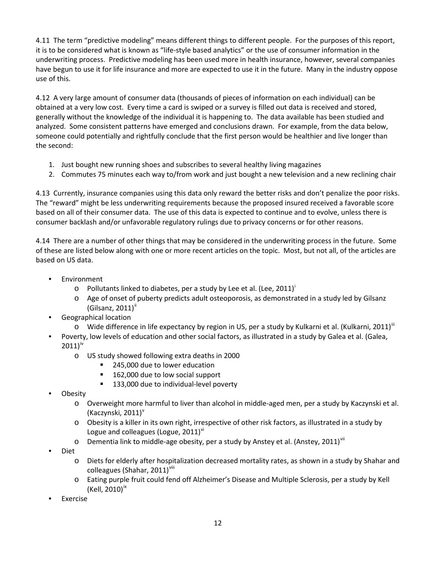4.11 The term "predictive modeling" means different things to different people. For the purposes of this report, it is to be considered what is known as "life-style based analytics" or the use of consumer information in the underwriting process. Predictive modeling has been used more in health insurance, however, several companies have begun to use it for life insurance and more are expected to use it in the future. Many in the industry oppose use of this.

4.12 A very large amount of consumer data (thousands of pieces of information on each individual) can be obtained at a very low cost. Every time a card is swiped or a survey is filled out data is received and stored, generally without the knowledge of the individual it is happening to. The data available has been studied and analyzed. Some consistent patterns have emerged and conclusions drawn. For example, from the data below, someone could potentially and rightfully conclude that the first person would be healthier and live longer than the second:

- 1. Just bought new running shoes and subscribes to several healthy living magazines
- 2. Commutes 75 minutes each way to/from work and just bought a new television and a new reclining chair

4.13 Currently, insurance companies using this data only reward the better risks and don't penalize the poor risks. The "reward" might be less underwriting requirements because the proposed insured received a favorable score based on all of their consumer data. The use of this data is expected to continue and to evolve, unless there is consumer backlash and/or unfavorable regulatory rulings due to privacy concerns or for other reasons.

4.14 There are a number of other things that may be considered in the underwriting process in the future. Some of these are listed below along with one or more recent articles on the topic. Most, but not all, of the articles are based on US data.

- **Environment** 
	- o Pollutants l[i](#page-15-0)nked to diabetes, per a study by Lee et al. (Lee, 2011)<sup>i</sup>
	- o Age of onset of puberty predicts adult osteoporosis, as demonstrated in a study led by Gilsanz  $(Gilsanz, 2011)^{ii}$  $(Gilsanz, 2011)^{ii}$  $(Gilsanz, 2011)^{ii}$
- Geographical location
	- $\circ$  Wide difference in life expectancy by region in US, per a study by Kulkarni et al. (Kulkarni, 2011)<sup>[iii](#page-15-2)</sup>
- Poverty, low levels of education and other social factors, as illustrated in a study by Galea et al. (Galea,  $2011$ <sup>"</sup>
	- o US study showed following extra deaths in 2000
		- 245,000 due to lower education
		- 162,000 due to low social support
		- 133,000 due to individual-level poverty
- **Obesity** 
	- o Overweight more harmful to liver than alcohol in middle-aged men, per a study by Kaczynski et al. (Kaczynski, 2011) $<sup>V</sup>$ </sup>
	- o Obesity is a killer in its own right, irrespective of other risk factors, as illustrated in a study by Logue and colleagues (Logue,  $2011$ )<sup>[vi](#page-15-5)</sup>
	- o Dementia link to middle-age obesity, per a study by Anstey et al. (Anstey, 2011)<sup>[vii](#page-15-6)</sup>
- Diet
	- o Diets for elderly after hospitalization decreased mortality rates, as shown in a study by Shahar and colleagues (Shahar, 2011)<sup>[viii](#page-15-7)</sup>
	- o Eating purple fruit could fend off Alzheimer's Disease and Multiple Sclerosis, per a study by Kell  $(Kell, 2010)^{ix}$  $(Kell, 2010)^{ix}$  $(Kell, 2010)^{ix}$
- **Exercise**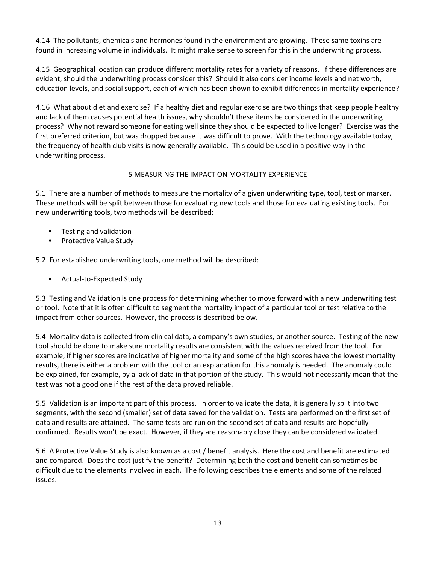4.14 The pollutants, chemicals and hormones found in the environment are growing. These same toxins are found in increasing volume in individuals. It might make sense to screen for this in the underwriting process.

4.15 Geographical location can produce different mortality rates for a variety of reasons. If these differences are evident, should the underwriting process consider this? Should it also consider income levels and net worth, education levels, and social support, each of which has been shown to exhibit differences in mortality experience?

4.16 What about diet and exercise? If a healthy diet and regular exercise are two things that keep people healthy and lack of them causes potential health issues, why shouldn't these items be considered in the underwriting process? Why not reward someone for eating well since they should be expected to live longer? Exercise was the first preferred criterion, but was dropped because it was difficult to prove. With the technology available today, the frequency of health club visits is now generally available. This could be used in a positive way in the underwriting process.

## 5 MEASURING THE IMPACT ON MORTALITY EXPERIENCE

5.1 There are a number of methods to measure the mortality of a given underwriting type, tool, test or marker. These methods will be split between those for evaluating new tools and those for evaluating existing tools. For new underwriting tools, two methods will be described:

- Testing and validation
- Protective Value Study

5.2 For established underwriting tools, one method will be described:

• Actual-to-Expected Study

5.3 Testing and Validation is one process for determining whether to move forward with a new underwriting test or tool. Note that it is often difficult to segment the mortality impact of a particular tool or test relative to the impact from other sources. However, the process is described below.

5.4 Mortality data is collected from clinical data, a company's own studies, or another source. Testing of the new tool should be done to make sure mortality results are consistent with the values received from the tool. For example, if higher scores are indicative of higher mortality and some of the high scores have the lowest mortality results, there is either a problem with the tool or an explanation for this anomaly is needed. The anomaly could be explained, for example, by a lack of data in that portion of the study. This would not necessarily mean that the test was not a good one if the rest of the data proved reliable.

5.5 Validation is an important part of this process. In order to validate the data, it is generally split into two segments, with the second (smaller) set of data saved for the validation. Tests are performed on the first set of data and results are attained. The same tests are run on the second set of data and results are hopefully confirmed. Results won't be exact. However, if they are reasonably close they can be considered validated.

5.6 A Protective Value Study is also known as a cost / benefit analysis. Here the cost and benefit are estimated and compared. Does the cost justify the benefit? Determining both the cost and benefit can sometimes be difficult due to the elements involved in each. The following describes the elements and some of the related issues.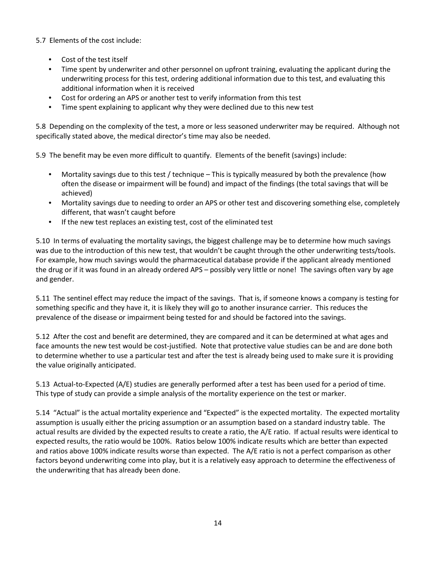# 5.7 Elements of the cost include:

- Cost of the test itself
- Time spent by underwriter and other personnel on upfront training, evaluating the applicant during the underwriting process for this test, ordering additional information due to this test, and evaluating this additional information when it is received
- Cost for ordering an APS or another test to verify information from this test
- Time spent explaining to applicant why they were declined due to this new test

5.8 Depending on the complexity of the test, a more or less seasoned underwriter may be required. Although not specifically stated above, the medical director's time may also be needed.

5.9 The benefit may be even more difficult to quantify. Elements of the benefit (savings) include:

- Mortality savings due to this test / technique This is typically measured by both the prevalence (how often the disease or impairment will be found) and impact of the findings (the total savings that will be achieved)
- Mortality savings due to needing to order an APS or other test and discovering something else, completely different, that wasn't caught before
- If the new test replaces an existing test, cost of the eliminated test

5.10 In terms of evaluating the mortality savings, the biggest challenge may be to determine how much savings was due to the introduction of this new test, that wouldn't be caught through the other underwriting tests/tools. For example, how much savings would the pharmaceutical database provide if the applicant already mentioned the drug or if it was found in an already ordered APS – possibly very little or none! The savings often vary by age and gender.

5.11 The sentinel effect may reduce the impact of the savings. That is, if someone knows a company is testing for something specific and they have it, it is likely they will go to another insurance carrier. This reduces the prevalence of the disease or impairment being tested for and should be factored into the savings.

5.12 After the cost and benefit are determined, they are compared and it can be determined at what ages and face amounts the new test would be cost-justified. Note that protective value studies can be and are done both to determine whether to use a particular test and after the test is already being used to make sure it is providing the value originally anticipated.

5.13 Actual-to-Expected (A/E) studies are generally performed after a test has been used for a period of time. This type of study can provide a simple analysis of the mortality experience on the test or marker.

5.14 "Actual" is the actual mortality experience and "Expected" is the expected mortality. The expected mortality assumption is usually either the pricing assumption or an assumption based on a standard industry table. The actual results are divided by the expected results to create a ratio, the A/E ratio. If actual results were identical to expected results, the ratio would be 100%. Ratios below 100% indicate results which are better than expected and ratios above 100% indicate results worse than expected. The A/E ratio is not a perfect comparison as other factors beyond underwriting come into play, but it is a relatively easy approach to determine the effectiveness of the underwriting that has already been done.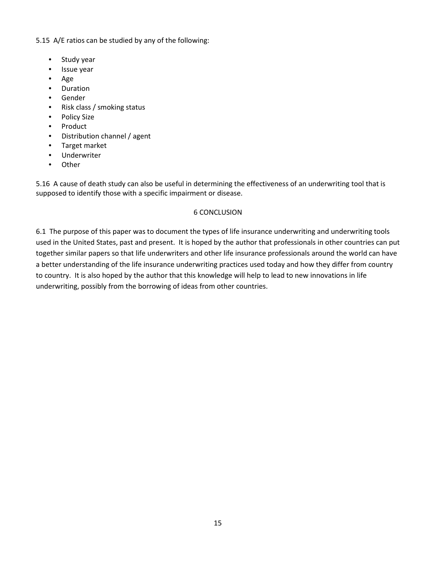5.15 A/E ratios can be studied by any of the following:

- Study year
- Issue year
- Age
- Duration
- Gender
- Risk class / smoking status
- Policy Size
- Product
- Distribution channel / agent
- Target market
- Underwriter
- Other

5.16 A cause of death study can also be useful in determining the effectiveness of an underwriting tool that is supposed to identify those with a specific impairment or disease.

# 6 CONCLUSION

6.1 The purpose of this paper was to document the types of life insurance underwriting and underwriting tools used in the United States, past and present. It is hoped by the author that professionals in other countries can put together similar papers so that life underwriters and other life insurance professionals around the world can have a better understanding of the life insurance underwriting practices used today and how they differ from country to country. It is also hoped by the author that this knowledge will help to lead to new innovations in life underwriting, possibly from the borrowing of ideas from other countries.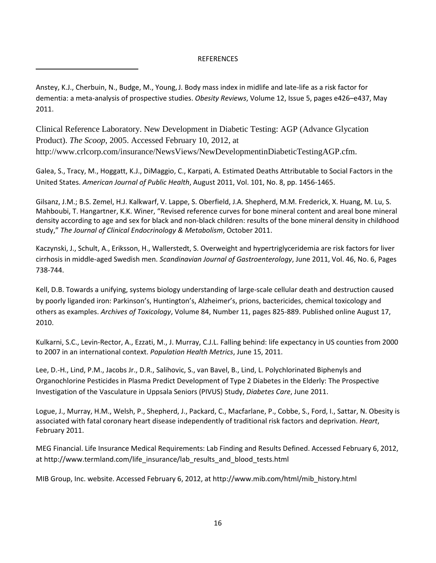### **REFERENCES**

<span id="page-15-3"></span><span id="page-15-2"></span><span id="page-15-1"></span><span id="page-15-0"></span>Anstey, K.J., Cherbuin, N., Budge, M., Young,J. Body mass index in midlife and late-life as a risk factor for dementia: a meta-analysis of prospective studies. *Obesity Reviews*, Volume 12, Issue 5, pages e426–e437, May 2011.

<span id="page-15-7"></span><span id="page-15-6"></span><span id="page-15-5"></span><span id="page-15-4"></span>Clinical Reference Laboratory. New Development in Diabetic Testing: AGP (Advance Glycation Product). *The Scoop*, 2005. Accessed February 10, 2012, at http://www.crlcorp.com/insurance/NewsViews/NewDevelopmentinDiabeticTestingAGP.cfm.

<span id="page-15-8"></span>Galea, S., Tracy, M., Hoggatt, K.J., DiMaggio, C., Karpati, A. Estimated Deaths Attributable to Social Factors in the United States. *American Journal of Public Health*, August 2011, Vol. 101, No. 8, pp. 1456-1465.

Gilsanz, J.M.; B.S. Zemel, H.J. Kalkwarf, V. Lappe, S. Oberfield, J.A. Shepherd, M.M. Frederick, X. Huang, M. Lu, S. Mahboubi, T. Hangartner, K.K. Winer, "Revised reference curves for bone mineral content and areal bone mineral density according to age and sex for black and non-black children: results of the bone mineral density in childhood study," *The Journal of Clinical Endocrinology & Metabolism*, October 2011.

Kaczynski, J., Schult, A., Eriksson, H., Wallerstedt, S. Overweight and hypertriglyceridemia are risk factors for liver cirrhosis in middle-aged Swedish men. *Scandinavian Journal of Gastroenterology*, June 2011, Vol. 46, No. 6, Pages 738-744.

Kell, D.B. Towards a unifying, systems biology understanding of large-scale cellular death and destruction caused by poorly liganded iron: Parkinson's, Huntington's, Alzheimer's, prions, bactericides, chemical toxicology and others as examples. *Archives of Toxicology*, Volume 84, Number 11, pages 825-889. Published online August 17, 2010.

Kulkarni, S.C., Levin-Rector, A., Ezzati, M., J. Murray, C.J.L. Falling behind: life expectancy in US counties from 2000 to 2007 in an international context. *Population Health Metrics*, June 15, 2011.

Lee, D.-H., Lind, P.M., Jacobs Jr., D.R., Salihovic, S., van Bavel, B., Lind, L. Polychlorinated Biphenyls and Organochlorine Pesticides in Plasma Predict Development of Type 2 Diabetes in the Elderly: The Prospective Investigation of the Vasculature in Uppsala Seniors (PIVUS) Study, *Diabetes Care*, June 2011.

Logue, J., Murray, H.M., Welsh, P., Shepherd, J., Packard, C., Macfarlane, P., Cobbe, S., Ford, I., Sattar, N. Obesity is associated with fatal coronary heart disease independently of traditional risk factors and deprivation. *Heart*, February 2011.

MEG Financial. Life Insurance Medical Requirements: Lab Finding and Results Defined. Accessed February 6, 2012, at http://www.termland.com/life\_insurance/lab\_results\_and\_blood\_tests.html

MIB Group, Inc. website. Accessed February 6, 2012, at http://www.mib.com/html/mib\_history.html